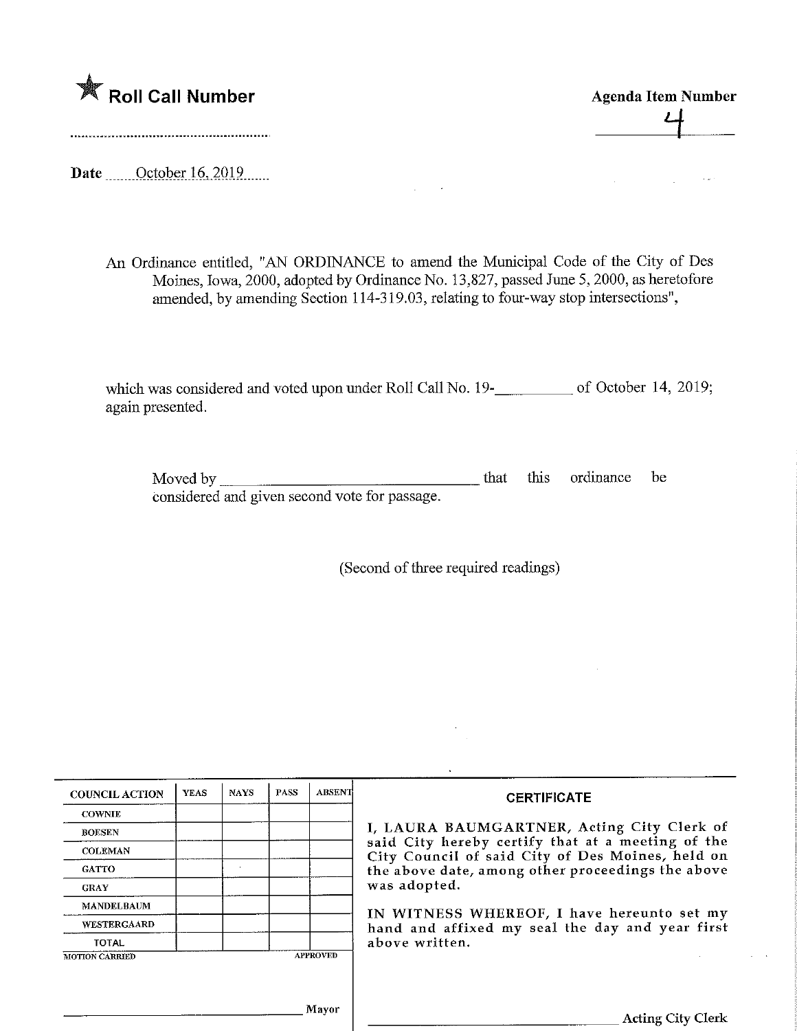

Agenda Item Number  $\frac{4}{1}$ 

Date ........Octoberl6,201,9

An Ordinance entitled, "AN ORDINANCE to amend the Municipal Code of the City of Des Moines, Iowa, 2000, adopted by Ordinance No. 13,827, passed June 5, 2000, as heretofore amended, by amending Section 114-319.03, relating to four-way stop intersections",

 $\sim$ 

which was considered and voted upon under Roll Call No. 19-\_\_\_\_\_\_\_\_\_\_\_\_\_ of October 14, 2019; again presented.

Moved by considered and given second vote for passage. this ordinance be

(Second of three required readings)

| <b>COUNCIL ACTION</b> | <b>YEAS</b> | <b>NAYS</b> | <b>PASS</b> | <b>ABSENT</b>   | <b>CERTIFICATE</b>                                                                                                                                                                                                       |  |  |  |
|-----------------------|-------------|-------------|-------------|-----------------|--------------------------------------------------------------------------------------------------------------------------------------------------------------------------------------------------------------------------|--|--|--|
| <b>COWNIE</b>         |             |             |             |                 |                                                                                                                                                                                                                          |  |  |  |
| <b>BOESEN</b>         |             |             |             |                 | I, LAURA BAUMGARTNER, Acting City Clerk of<br>said City hereby certify that at a meeting of the<br>City Council of said City of Des Moines, held on<br>the above date, among other proceedings the above<br>was adopted. |  |  |  |
| <b>COLEMAN</b>        |             |             |             |                 |                                                                                                                                                                                                                          |  |  |  |
| <b>GATTO</b>          |             |             |             |                 |                                                                                                                                                                                                                          |  |  |  |
| <b>GRAY</b>           |             |             |             |                 |                                                                                                                                                                                                                          |  |  |  |
| <b>MANDELBAUM</b>     |             |             |             |                 | IN WITNESS WHEREOF, I have hereunto set my                                                                                                                                                                               |  |  |  |
| <b>WESTERGAARD</b>    |             |             |             |                 | hand and affixed my seal the day and year first                                                                                                                                                                          |  |  |  |
| <b>TOTAL</b>          |             |             |             |                 | above written.                                                                                                                                                                                                           |  |  |  |
| <b>MOTION CARRIED</b> |             |             |             | <b>APPROVED</b> |                                                                                                                                                                                                                          |  |  |  |
|                       |             |             |             |                 |                                                                                                                                                                                                                          |  |  |  |
|                       |             |             |             |                 |                                                                                                                                                                                                                          |  |  |  |
|                       |             |             |             | Mayor           | <b>Acting City Clerk</b>                                                                                                                                                                                                 |  |  |  |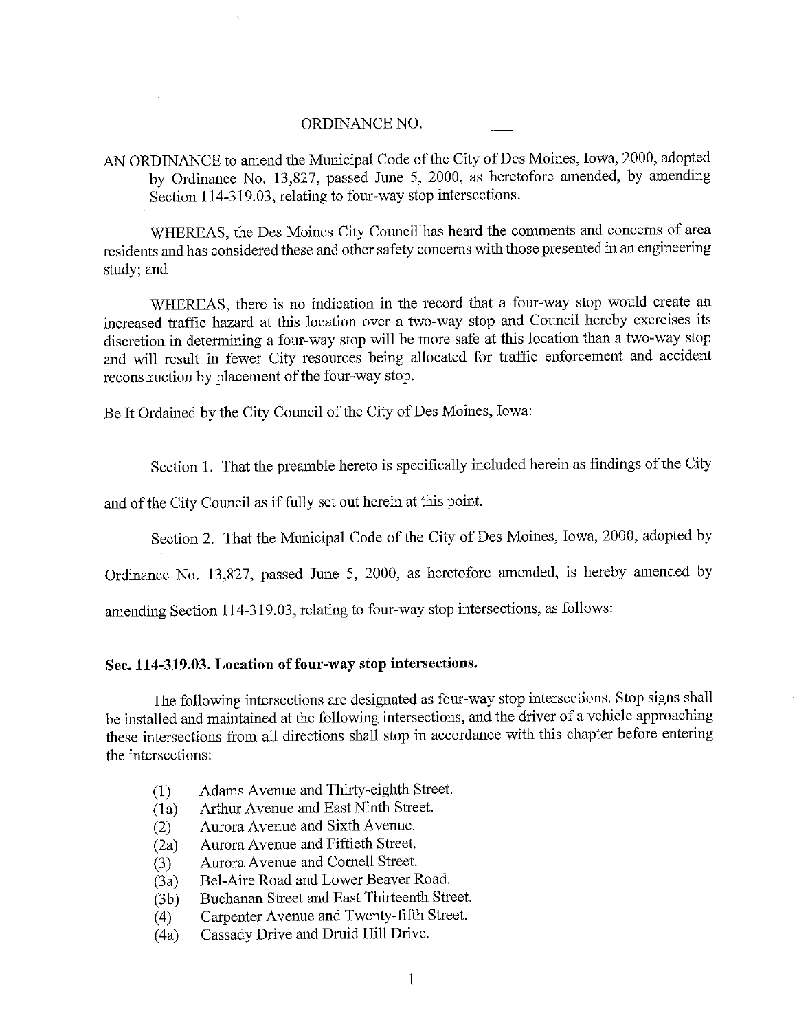## ORDINANCE NO.

AN ORDINANCE to amend the Municipal Code of the City of Des Moines, Iowa, 2000, adopted by Ordinance No. 13,827, passed June 5, 2000, as heretofore amended, by amending Section 114-319.03, relating to four-way stop intersections.

WHEREAS, the Des Moines City Council has heard the comments and concerns of area residents and has considered these and other safety concerns with those presented in an engineering study; and

WHEREAS, there is no indication in the record that a four-way stop would create an increased traffic hazard at this location over a two-way stop and Council hereby exercises its discretion in detennining a four-way stop will be more safe at this location than a two-way stop and will result in fewer City resources being allocated for traffic enforcement and accident reconstruction by placement of the four-way stop.

Be It Ordained by the City Council of the City of Des Moines, Iowa:

Section 1. That the preamble hereto is specifically included herein as findings of the City

and of the City Council as if fully set out herein at this point.

Section 2. That the Municipal Code of the City of Des Moines, Iowa, 2000, adopted by

Ordinance No. 13,827, passed June 5, 2000, as heretofore amended, is hereby amended by

amending Section 114-319.03, relating to four-way stop intersections, as follows:

## Sec. 114-319.03. Location of four-way stop intersections.

The following intersections are designated as four-way stop intersections. Stop signs shall be installed and maintained at the following intersections, and the driver of a vehicle approaching these intersections from all directions shall stop in accordance with this chapter before entering the intersections:

- (1) Adams Avenue and Thirty-eighth Street.
- (1 a) Arthur Avenue and East Ninth Street.
- (2) Aurora Avenue and Sixth Avenue.
- (2a) Aurora Avenue and Fiftieth Street.
- (3) Aurora Avenue and Comell Street.
- (3a) Bel-Aire Road and Lower Beaver Road.
- (3b) Buchanan Street and East Thirteenth Street.
- (4) Carpenter Avenue and Twenty-fiflh Street.
- (4a) Cassady Drive and Druid Hill Drive.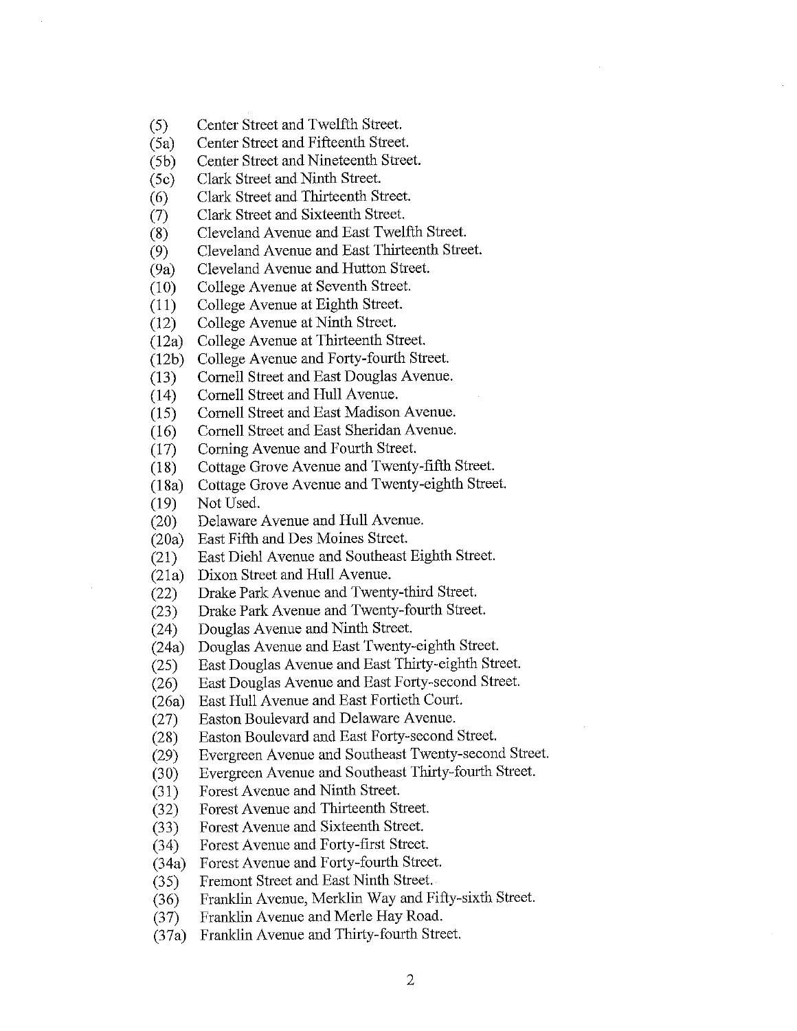(5) Center Street and Twelfth Street.

(5a) Center Street and Fifteenth Street.

(5b) Center Street and Nineteenth Street.

(5c) Clark Street and Ninth Street.

(6) Clark Street and Thirteenth Street.

(7) Clark Street and Sixteenth Street.

(8) Cleveland Avenue and East Twelfth Street.

(9) Cleveland Avenue and East Thirteenth Street.

(9a) Cleveland Avenue and Hutton Street.

(10) College Avenue at Seventh Street.

(11) College Avenue at Eighth Street.

(12) College Avenue at Ninth Street.

(12a) College Avenue at Thirteenth Street.

(12b) College Avenue and Forty-fourth Street.

(13) Comell Street and East Douglas Avenue.

(14) Comell Street and Hull Avenue.

(15) Comell Street and East Madison Avenue.

(16) Cornell Street and East Sheridan Avenue.

(17) Corning Avenue and Fourth Street.<br>(18) Cottage Grove Avenue and Twenty Cottage Grove Avenue and Twenty-fifth Street.

(18 a) Cottage Grove Avenue and Twenty-elghth Street.

(19) Not Used.

(20) Delaware Avenue and Hull Avenue.

(20a) East Fifth and Des Moines Street.

(21) East Diehl Avenue and Southeast Eighth Street.

(21a) Dixon Street and Hull Avenue.

(22) Drake Park Avenue and Twenty-third Street.

(23) Drake Park Avenue and Twenty-fourth Street.

(24) Douglas Avenue and Ninth Street.

(24a) Douglas Avenue and East Twenty-eighth Street.

(25) East Douglas Avenue and East Thirty-eighth Street.

(26) East Douglas Avenue and East Forty-second Street.

(26a) East Hull Avenue and East Fortieth Court.

(27) Easton Boulevard and Delaware Avenue.

(28) Easton Boulevard and East Forty-second Street.

(29) Evergreen Avenue and Southeast Twenty-second Street.

(30) Evergreen Avenue and Southeast Thirty-fourth Street.

(31) Forest Avenue and Ninth Street.

(32) Forest Avenue and Thirteenth Street.

(33) Forest Avenue and Sixteenth Street.

(34) Forest Avenue and Forty-first Street.

(34a) Forest Avenue and Forty-fourth Street.

(35) Fremont Street and East Ninth Street.

(36) Franklin Avenue, Merklin Way and Fifty-sixth Street.

(37) Franklin Avenue and Merle Hay Road.

(37a) Franklin Avenue and Thirty-fourth Street.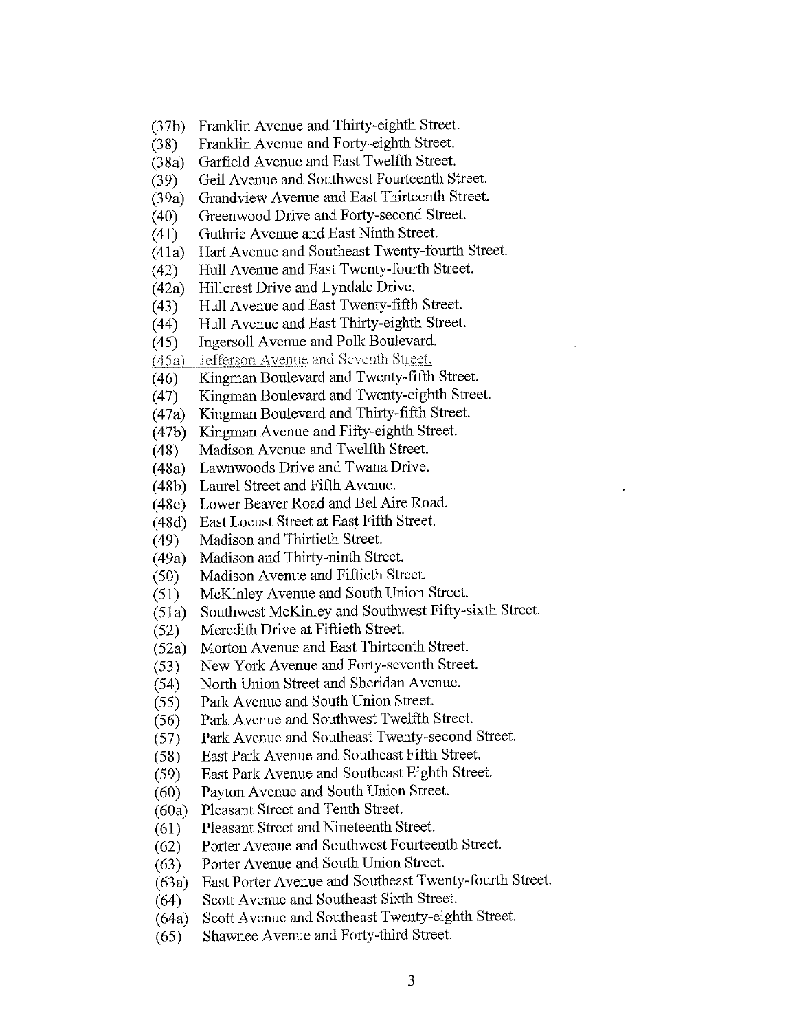- (37b) Franklin Avenue and Thirty-eighth Street.
- (38) Franklin Avenue and Forty-eighth Street.
- (38a) Garfield Avenue and East Twelfth Street.
- (39) Geil Avenue and Southwest Fourteenth Street.
- (39a) Grandview Avenue and East Thirteenth Street.
- (40) Greenwood Drive and Forty-second Street.
- (41) Guthrie Avenue and East Ninth Street.
- (41a) Hart Avenue and Southeast Twenty-fourth Street.
- (42) Hull Avenue and East Twenty-fourth Street.<br>(42a) Hillcrest Drive and Lyndale Drive.
- Hillcrest Drive and Lyndale Drive.
- (43) Hull Avenue and East Twenty-fifth Street.
- (44) Hull Avenue and East Thirty-eighth Street.
- (45) Ingersoll Avenue and Polk Boulevard.
- $(45a)$  Jefferson Avenue and Seventh Street.
- (46) Kingman Boulevard and Twenty-fifth Street.
- (47) Kingman Boulevard and Twenty-eighth Street.
- (47a) Kingman Boulevard and Thirty-fifth Street.
- (47b) Kingman Avenue and Fifty-eighth Street.
- (48) Madison Avenue and Twelfth Street.
- (48a) Lawnwoods Drive and Twana Drive.
- (48b) Laurel Street and Fifth Avenue.
- (48c) Lower Beaver Road and Bel Aire Road.
- (48d) East Locust Street at East Fifth Street.
- (49) Madison and Thirtieth Street.
- (49a) Madison and Thirty-ninth Street.
- (50) Madison Avenue and Fiftieth Street.
- (51) McKinley Avenue and South Union Street.
- (5 la) Southwest McKinley and Southwest Fifty-sixth Street.
- (52) Meredith Drive at Fiftieth Street.
- (52a) Morton Avenue and East Thirteenth Street.
- (53) New York Avenue and Forty-seventh Street.
- (54) North Union Street and Sheridan Avenue.
- (55) Park Avenue and South Union Street.
- (56) Park Avenue and Southwest Twelfth Street.
- (57) Park Avenue and Southeast Twenty-second Street.
- (58) East Park Avenue and Southeast Fifth Street.
- (59) East Park Avenue and Southeast Eighth Street.
- (60) Payton Avenue and South Union Street.
- (60a) Pleasant Street and Tenth Street.
- (61) Pleasant Street and Nineteenth Street.
- (62) Porter Avenue and Southwest Fourteenth Street.
- (63) Porter Avenue and South Union Street.
- (63a) East Porter Avenue and Southeast Twenty-fourth Street.
- (64) Scott Avenue and Southeast Sixth Street.
- (64a) Scott Avenue and Southeast Twenty-eighth Street.
- (65) Shawnee Avenue and Forty-third Street.